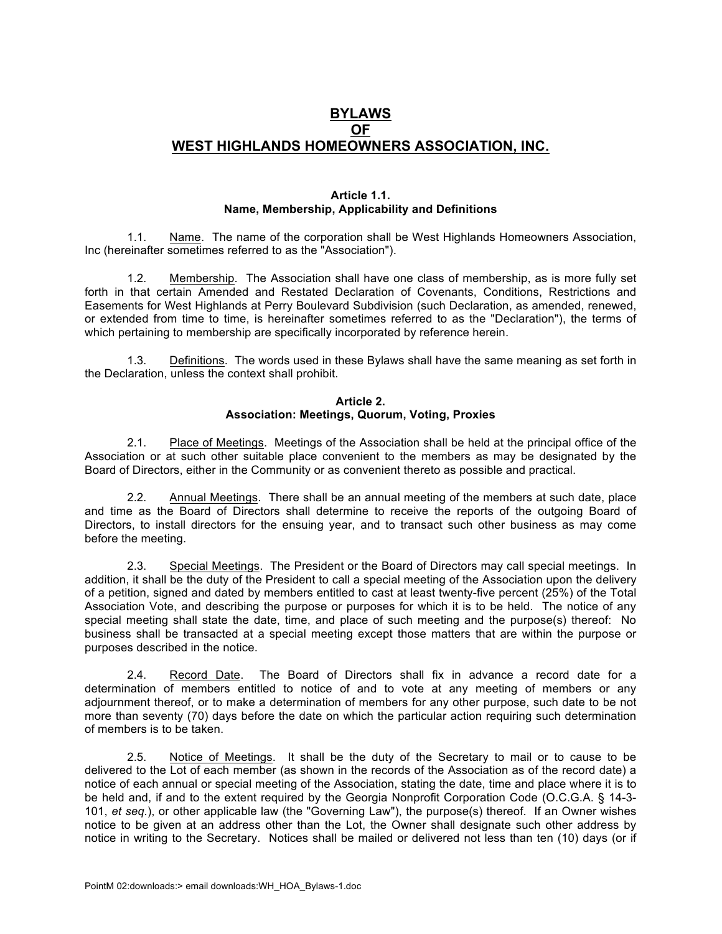# **BYLAWS OF WEST HIGHLANDS HOMEOWNERS ASSOCIATION, INC.**

#### **Article 1.1. Name, Membership, Applicability and Definitions**

1.1. Name. The name of the corporation shall be West Highlands Homeowners Association, Inc (hereinafter sometimes referred to as the "Association").

1.2. Membership. The Association shall have one class of membership, as is more fully set forth in that certain Amended and Restated Declaration of Covenants, Conditions, Restrictions and Easements for West Highlands at Perry Boulevard Subdivision (such Declaration, as amended, renewed, or extended from time to time, is hereinafter sometimes referred to as the "Declaration"), the terms of which pertaining to membership are specifically incorporated by reference herein.

1.3. Definitions. The words used in these Bylaws shall have the same meaning as set forth in the Declaration, unless the context shall prohibit.

## **Article 2. Association: Meetings, Quorum, Voting, Proxies**

2.1. Place of Meetings. Meetings of the Association shall be held at the principal office of the Association or at such other suitable place convenient to the members as may be designated by the Board of Directors, either in the Community or as convenient thereto as possible and practical.

2.2. Annual Meetings. There shall be an annual meeting of the members at such date, place and time as the Board of Directors shall determine to receive the reports of the outgoing Board of Directors, to install directors for the ensuing year, and to transact such other business as may come before the meeting.

2.3. Special Meetings. The President or the Board of Directors may call special meetings. In addition, it shall be the duty of the President to call a special meeting of the Association upon the delivery of a petition, signed and dated by members entitled to cast at least twenty-five percent (25%) of the Total Association Vote, and describing the purpose or purposes for which it is to be held. The notice of any special meeting shall state the date, time, and place of such meeting and the purpose(s) thereof: No business shall be transacted at a special meeting except those matters that are within the purpose or purposes described in the notice.

2.4. Record Date. The Board of Directors shall fix in advance a record date for a determination of members entitled to notice of and to vote at any meeting of members or any adjournment thereof, or to make a determination of members for any other purpose, such date to be not more than seventy (70) days before the date on which the particular action requiring such determination of members is to be taken.

2.5. Notice of Meetings. It shall be the duty of the Secretary to mail or to cause to be delivered to the Lot of each member (as shown in the records of the Association as of the record date) a notice of each annual or special meeting of the Association, stating the date, time and place where it is to be held and, if and to the extent required by the Georgia Nonprofit Corporation Code (O.C.G.A. § 14-3- 101, *et seq.*), or other applicable law (the "Governing Law"), the purpose(s) thereof. If an Owner wishes notice to be given at an address other than the Lot, the Owner shall designate such other address by notice in writing to the Secretary. Notices shall be mailed or delivered not less than ten (10) days (or if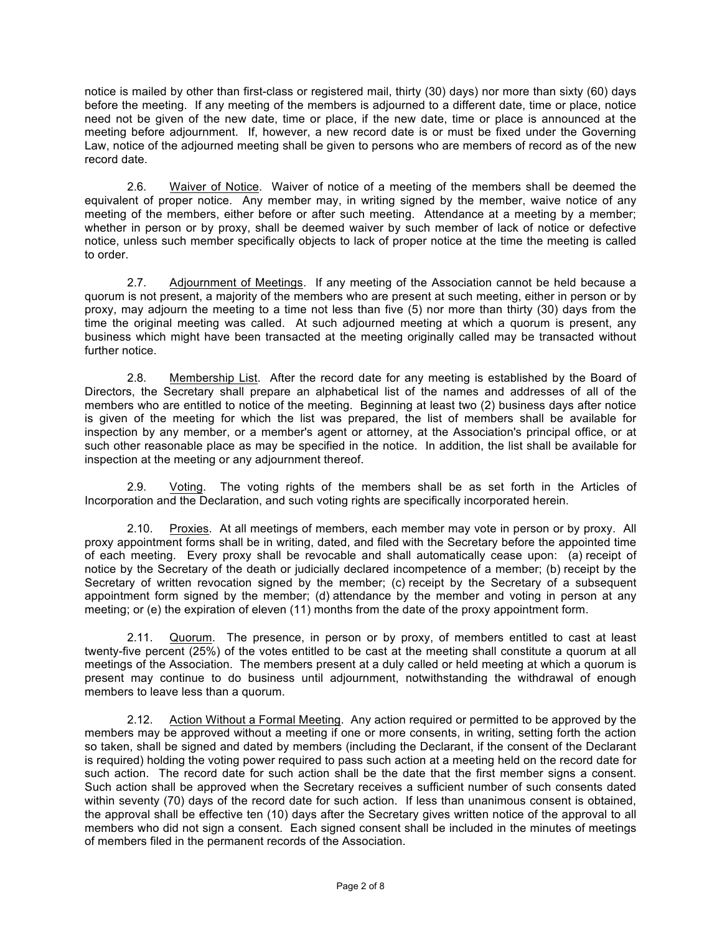notice is mailed by other than first-class or registered mail, thirty (30) days) nor more than sixty (60) days before the meeting. If any meeting of the members is adjourned to a different date, time or place, notice need not be given of the new date, time or place, if the new date, time or place is announced at the meeting before adjournment. If, however, a new record date is or must be fixed under the Governing Law, notice of the adjourned meeting shall be given to persons who are members of record as of the new record date.

2.6. Waiver of Notice. Waiver of notice of a meeting of the members shall be deemed the equivalent of proper notice. Any member may, in writing signed by the member, waive notice of any meeting of the members, either before or after such meeting. Attendance at a meeting by a member; whether in person or by proxy, shall be deemed waiver by such member of lack of notice or defective notice, unless such member specifically objects to lack of proper notice at the time the meeting is called to order.

2.7. Adjournment of Meetings. If any meeting of the Association cannot be held because a quorum is not present, a majority of the members who are present at such meeting, either in person or by proxy, may adjourn the meeting to a time not less than five (5) nor more than thirty (30) days from the time the original meeting was called. At such adjourned meeting at which a quorum is present, any business which might have been transacted at the meeting originally called may be transacted without further notice.

2.8. Membership List. After the record date for any meeting is established by the Board of Directors, the Secretary shall prepare an alphabetical list of the names and addresses of all of the members who are entitled to notice of the meeting. Beginning at least two (2) business days after notice is given of the meeting for which the list was prepared, the list of members shall be available for inspection by any member, or a member's agent or attorney, at the Association's principal office, or at such other reasonable place as may be specified in the notice. In addition, the list shall be available for inspection at the meeting or any adjournment thereof.

2.9. Voting. The voting rights of the members shall be as set forth in the Articles of Incorporation and the Declaration, and such voting rights are specifically incorporated herein.

2.10. Proxies. At all meetings of members, each member may vote in person or by proxy. All proxy appointment forms shall be in writing, dated, and filed with the Secretary before the appointed time of each meeting. Every proxy shall be revocable and shall automatically cease upon: (a) receipt of notice by the Secretary of the death or judicially declared incompetence of a member; (b) receipt by the Secretary of written revocation signed by the member; (c) receipt by the Secretary of a subsequent appointment form signed by the member; (d) attendance by the member and voting in person at any meeting; or (e) the expiration of eleven (11) months from the date of the proxy appointment form.

2.11. Quorum. The presence, in person or by proxy, of members entitled to cast at least twenty-five percent (25%) of the votes entitled to be cast at the meeting shall constitute a quorum at all meetings of the Association. The members present at a duly called or held meeting at which a quorum is present may continue to do business until adjournment, notwithstanding the withdrawal of enough members to leave less than a quorum.

2.12. Action Without a Formal Meeting. Any action required or permitted to be approved by the members may be approved without a meeting if one or more consents, in writing, setting forth the action so taken, shall be signed and dated by members (including the Declarant, if the consent of the Declarant is required) holding the voting power required to pass such action at a meeting held on the record date for such action. The record date for such action shall be the date that the first member signs a consent. Such action shall be approved when the Secretary receives a sufficient number of such consents dated within seventy (70) days of the record date for such action. If less than unanimous consent is obtained, the approval shall be effective ten (10) days after the Secretary gives written notice of the approval to all members who did not sign a consent. Each signed consent shall be included in the minutes of meetings of members filed in the permanent records of the Association.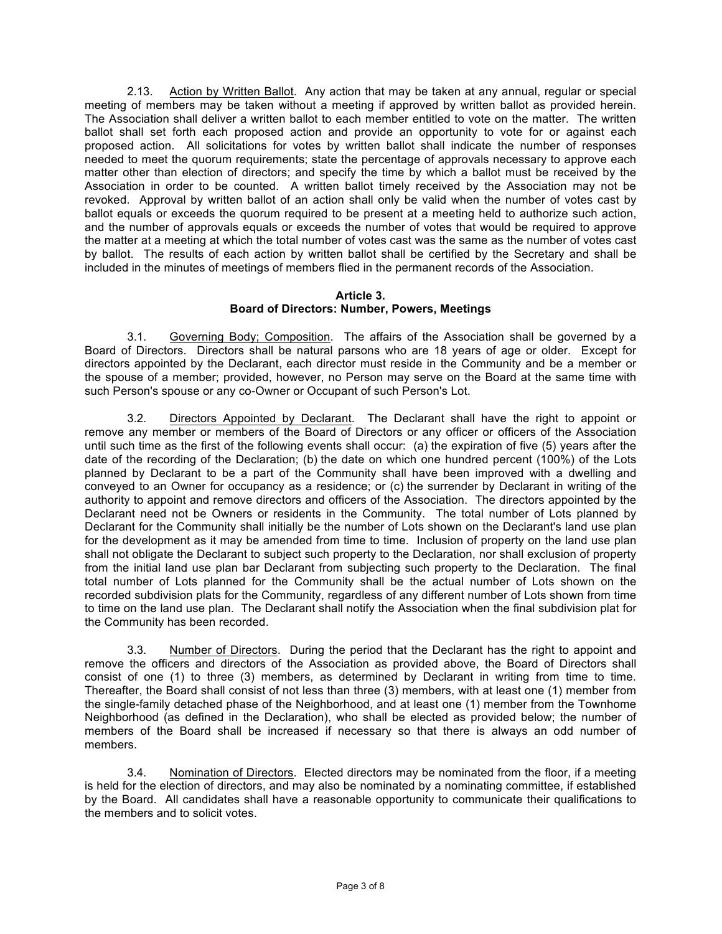2.13. Action by Written Ballot. Any action that may be taken at any annual, regular or special meeting of members may be taken without a meeting if approved by written ballot as provided herein. The Association shall deliver a written ballot to each member entitled to vote on the matter. The written ballot shall set forth each proposed action and provide an opportunity to vote for or against each proposed action. All solicitations for votes by written ballot shall indicate the number of responses needed to meet the quorum requirements; state the percentage of approvals necessary to approve each matter other than election of directors; and specify the time by which a ballot must be received by the Association in order to be counted. A written ballot timely received by the Association may not be revoked. Approval by written ballot of an action shall only be valid when the number of votes cast by ballot equals or exceeds the quorum required to be present at a meeting held to authorize such action, and the number of approvals equals or exceeds the number of votes that would be required to approve the matter at a meeting at which the total number of votes cast was the same as the number of votes cast by ballot. The results of each action by written ballot shall be certified by the Secretary and shall be included in the minutes of meetings of members flied in the permanent records of the Association.

#### **Article 3. Board of Directors: Number, Powers, Meetings**

3.1. Governing Body; Composition. The affairs of the Association shall be governed by a Board of Directors. Directors shall be natural parsons who are 18 years of age or older. Except for directors appointed by the Declarant, each director must reside in the Community and be a member or the spouse of a member; provided, however, no Person may serve on the Board at the same time with such Person's spouse or any co-Owner or Occupant of such Person's Lot.

3.2. Directors Appointed by Declarant. The Declarant shall have the right to appoint or remove any member or members of the Board of Directors or any officer or officers of the Association until such time as the first of the following events shall occur: (a) the expiration of five (5) years after the date of the recording of the Declaration; (b) the date on which one hundred percent (100%) of the Lots planned by Declarant to be a part of the Community shall have been improved with a dwelling and conveyed to an Owner for occupancy as a residence; or (c) the surrender by Declarant in writing of the authority to appoint and remove directors and officers of the Association. The directors appointed by the Declarant need not be Owners or residents in the Community. The total number of Lots planned by Declarant for the Community shall initially be the number of Lots shown on the Declarant's land use plan for the development as it may be amended from time to time. Inclusion of property on the land use plan shall not obligate the Declarant to subject such property to the Declaration, nor shall exclusion of property from the initial land use plan bar Declarant from subjecting such property to the Declaration. The final total number of Lots planned for the Community shall be the actual number of Lots shown on the recorded subdivision plats for the Community, regardless of any different number of Lots shown from time to time on the land use plan. The Declarant shall notify the Association when the final subdivision plat for the Community has been recorded.

3.3. Number of Directors. During the period that the Declarant has the right to appoint and remove the officers and directors of the Association as provided above, the Board of Directors shall consist of one (1) to three (3) members, as determined by Declarant in writing from time to time. Thereafter, the Board shall consist of not less than three (3) members, with at least one (1) member from the single-family detached phase of the Neighborhood, and at least one (1) member from the Townhome Neighborhood (as defined in the Declaration), who shall be elected as provided below; the number of members of the Board shall be increased if necessary so that there is always an odd number of members.

3.4. Nomination of Directors. Elected directors may be nominated from the floor, if a meeting is held for the election of directors, and may also be nominated by a nominating committee, if established by the Board. All candidates shall have a reasonable opportunity to communicate their qualifications to the members and to solicit votes.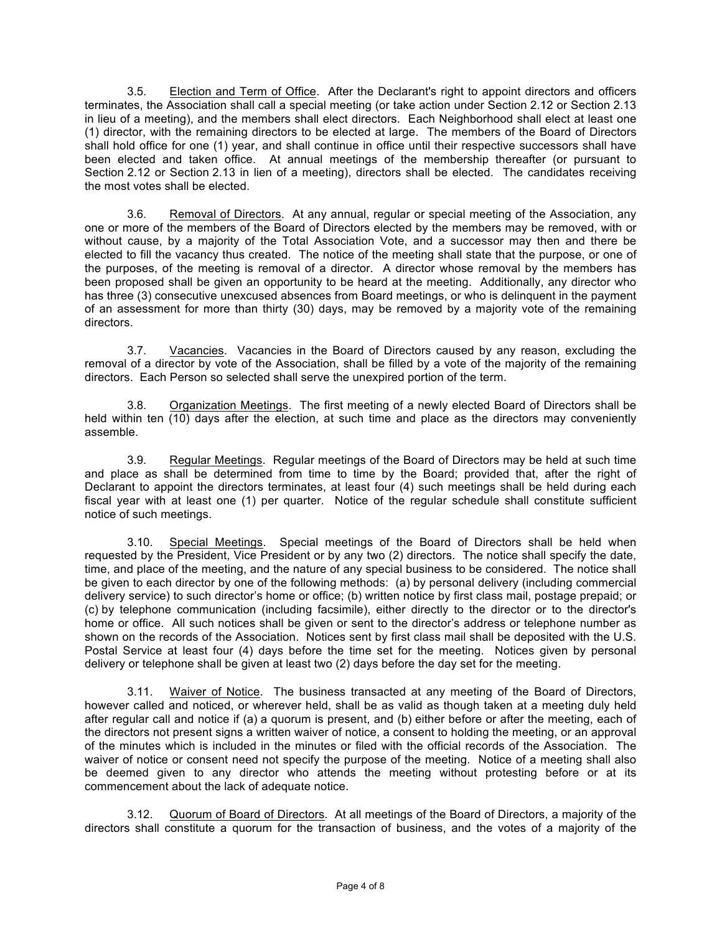3.5. Election and Term of Office. After the Declarant's right to appoint directors and officers terminates, the Association shall call a special meeting (or take action under Section 2.12 or Section 2.13 in lieu of a meeting), and the members shall elect directors. Each Neighborhood shall elect at least one (1) director, with the remaining directors to be elected at large. The members of the Board of Directors shall hold office for one (1) year, and shall continue in office until their respective successors shall have been elected and taken office. At annual meetings of the membership thereafter (or pursuant to Section 2.12 or Section 2.13 in lien of a meeting), directors shall be elected. The candidates receiving the most votes shall be elected.

3.6. Removal of Directors. At any annual, regular or special meeting of the Association, any one or more of the members of the Board of Directors elected by the members may be removed, with or without cause, by a majority of the Total Association Vote, and a successor may then and there be elected to fill the vacancy thus created. The notice of the meeting shall state that the purpose, or one of the purposes, of the meeting is removal of a director. A director whose removal by the members has been proposed shall be given an opportunity to be heard at the meeting. Additionally, any director who has three (3) consecutive unexcused absences from Board meetings, or who is delinquent in the payment of an assessment for more than thirty (30) days, may be removed by a majority vote of the remaining directors.

3.7. Vacancies. Vacancies in the Board of Directors caused by any reason, excluding the removal of a director by vote of the Association, shall be filled by a vote of the majority of the remaining directors. Each Person so selected shall serve the unexpired portion of the term.

3.8. Organization Meetings. The first meeting of a newly elected Board of Directors shall be held within ten (10) days after the election, at such time and place as the directors may conveniently assemble.

3.9. Regular Meetings. Regular meetings of the Board of Directors may be held at such time and place as shall be determined from time to time by the Board; provided that, after the right of Declarant to appoint the directors terminates, at least four (4) such meetings shall be held during each fiscal year with at least one (1) per quarter. Notice of the regular schedule shall constitute sufficient notice of such meetings.

3.10. Special Meetings. Special meetings of the Board of Directors shall be held when requested by the President, Vice President or by any two (2) directors. The notice shall specify the date, time, and place of the meeting, and the nature of any special business to be considered. The notice shall be given to each director by one of the following methods: (a) by personal delivery (including commercial delivery service) to such director's home or office; (b) written notice by first class mail, postage prepaid; or (c) by telephone communication (including facsimile), either directly to the director or to the director's home or office. All such notices shall be given or sent to the director's address or telephone number as shown on the records of the Association. Notices sent by first class mail shall be deposited with the U.S. Postal Service at least four (4) days before the time set for the meeting. Notices given by personal delivery or telephone shall be given at least two (2) days before the day set for the meeting.

3.11. Waiver of Notice. The business transacted at any meeting of the Board of Directors, however called and noticed, or wherever held, shall be as valid as though taken at a meeting duly held after regular call and notice if (a) a quorum is present, and (b) either before or after the meeting, each of the directors not present signs a written waiver of notice, a consent to holding the meeting, or an approval of the minutes which is included in the minutes or filed with the official records of the Association. The waiver of notice or consent need not specify the purpose of the meeting. Notice of a meeting shall also be deemed given to any director who attends the meeting without protesting before or at its commencement about the lack of adequate notice.

3.12. Quorum of Board of Directors. At all meetings of the Board of Directors, a majority of the directors shall constitute a quorum for the transaction of business, and the votes of a majority of the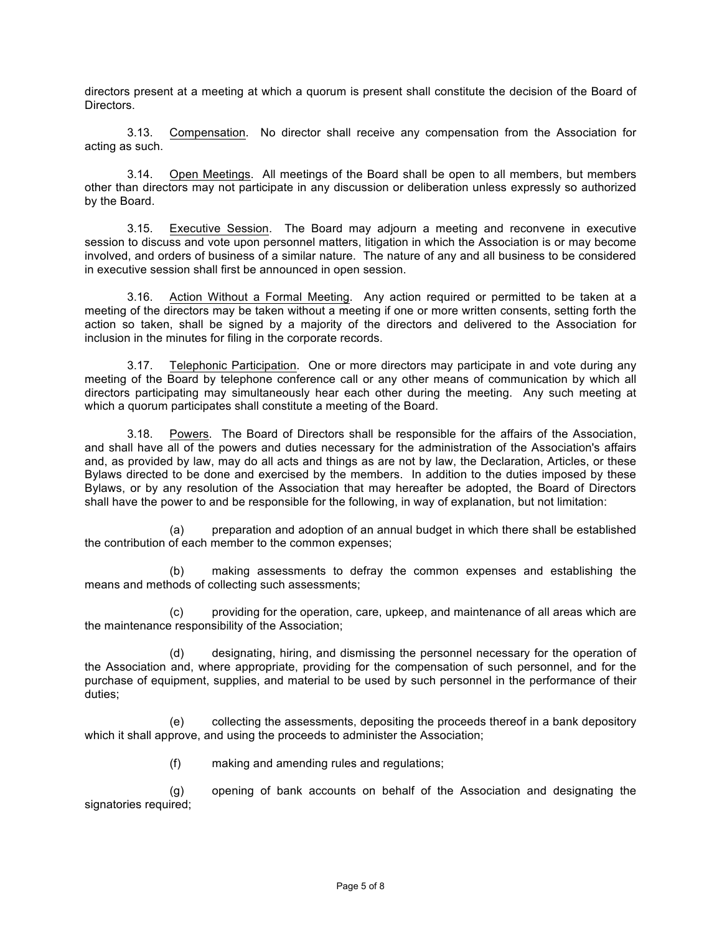directors present at a meeting at which a quorum is present shall constitute the decision of the Board of Directors.

3.13. Compensation. No director shall receive any compensation from the Association for acting as such.

3.14. Open Meetings. All meetings of the Board shall be open to all members, but members other than directors may not participate in any discussion or deliberation unless expressly so authorized by the Board.

3.15. Executive Session. The Board may adjourn a meeting and reconvene in executive session to discuss and vote upon personnel matters, litigation in which the Association is or may become involved, and orders of business of a similar nature. The nature of any and all business to be considered in executive session shall first be announced in open session.

3.16. Action Without a Formal Meeting. Any action required or permitted to be taken at a meeting of the directors may be taken without a meeting if one or more written consents, setting forth the action so taken, shall be signed by a majority of the directors and delivered to the Association for inclusion in the minutes for filing in the corporate records.

3.17. Telephonic Participation. One or more directors may participate in and vote during any meeting of the Board by telephone conference call or any other means of communication by which all directors participating may simultaneously hear each other during the meeting. Any such meeting at which a quorum participates shall constitute a meeting of the Board.

3.18. Powers. The Board of Directors shall be responsible for the affairs of the Association, and shall have all of the powers and duties necessary for the administration of the Association's affairs and, as provided by law, may do all acts and things as are not by law, the Declaration, Articles, or these Bylaws directed to be done and exercised by the members. In addition to the duties imposed by these Bylaws, or by any resolution of the Association that may hereafter be adopted, the Board of Directors shall have the power to and be responsible for the following, in way of explanation, but not limitation:

(a) preparation and adoption of an annual budget in which there shall be established the contribution of each member to the common expenses;

(b) making assessments to defray the common expenses and establishing the means and methods of collecting such assessments;

(c) providing for the operation, care, upkeep, and maintenance of all areas which are the maintenance responsibility of the Association;

(d) designating, hiring, and dismissing the personnel necessary for the operation of the Association and, where appropriate, providing for the compensation of such personnel, and for the purchase of equipment, supplies, and material to be used by such personnel in the performance of their duties;

(e) collecting the assessments, depositing the proceeds thereof in a bank depository which it shall approve, and using the proceeds to administer the Association;

(f) making and amending rules and regulations;

(g) opening of bank accounts on behalf of the Association and designating the signatories required;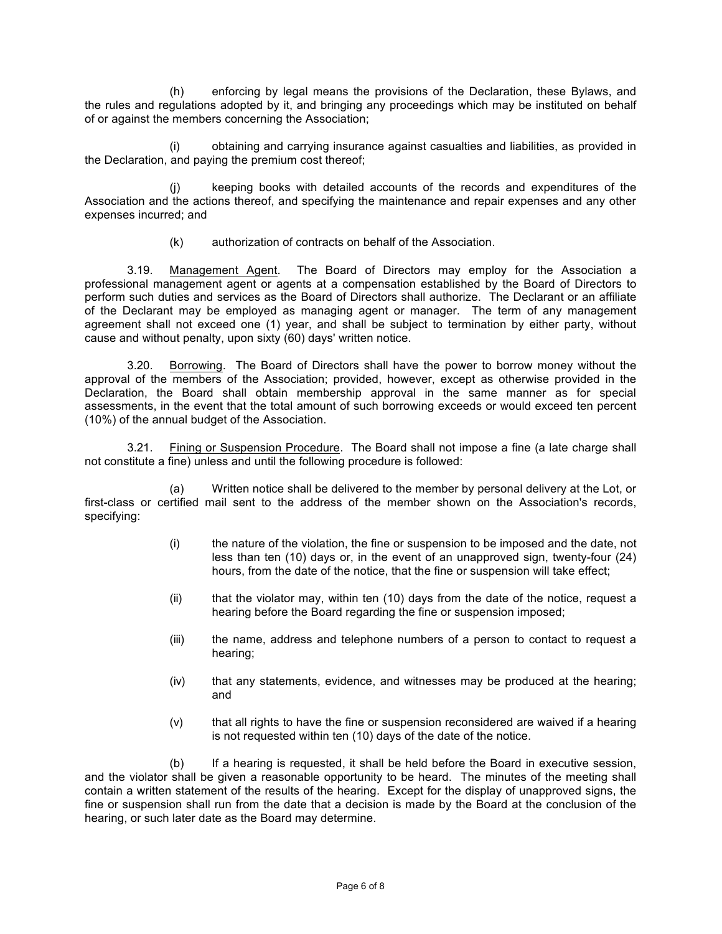(h) enforcing by legal means the provisions of the Declaration, these Bylaws, and the rules and regulations adopted by it, and bringing any proceedings which may be instituted on behalf of or against the members concerning the Association;

(i) obtaining and carrying insurance against casualties and liabilities, as provided in the Declaration, and paying the premium cost thereof;

(j) keeping books with detailed accounts of the records and expenditures of the Association and the actions thereof, and specifying the maintenance and repair expenses and any other expenses incurred; and

(k) authorization of contracts on behalf of the Association.

3.19. Management Agent. The Board of Directors may employ for the Association a professional management agent or agents at a compensation established by the Board of Directors to perform such duties and services as the Board of Directors shall authorize. The Declarant or an affiliate of the Declarant may be employed as managing agent or manager. The term of any management agreement shall not exceed one (1) year, and shall be subject to termination by either party, without cause and without penalty, upon sixty (60) days' written notice.

3.20. Borrowing. The Board of Directors shall have the power to borrow money without the approval of the members of the Association; provided, however, except as otherwise provided in the Declaration, the Board shall obtain membership approval in the same manner as for special assessments, in the event that the total amount of such borrowing exceeds or would exceed ten percent (10%) of the annual budget of the Association.

3.21. Fining or Suspension Procedure. The Board shall not impose a fine (a late charge shall not constitute a fine) unless and until the following procedure is followed:

(a) Written notice shall be delivered to the member by personal delivery at the Lot, or first-class or certified mail sent to the address of the member shown on the Association's records, specifying:

- (i) the nature of the violation, the fine or suspension to be imposed and the date, not less than ten (10) days or, in the event of an unapproved sign, twenty-four (24) hours, from the date of the notice, that the fine or suspension will take effect;
- (ii) that the violator may, within ten (10) days from the date of the notice, request a hearing before the Board regarding the fine or suspension imposed;
- (iii) the name, address and telephone numbers of a person to contact to request a hearing;
- (iv) that any statements, evidence, and witnesses may be produced at the hearing; and
- (v) that all rights to have the fine or suspension reconsidered are waived if a hearing is not requested within ten (10) days of the date of the notice.

(b) If a hearing is requested, it shall be held before the Board in executive session, and the violator shall be given a reasonable opportunity to be heard. The minutes of the meeting shall contain a written statement of the results of the hearing. Except for the display of unapproved signs, the fine or suspension shall run from the date that a decision is made by the Board at the conclusion of the hearing, or such later date as the Board may determine.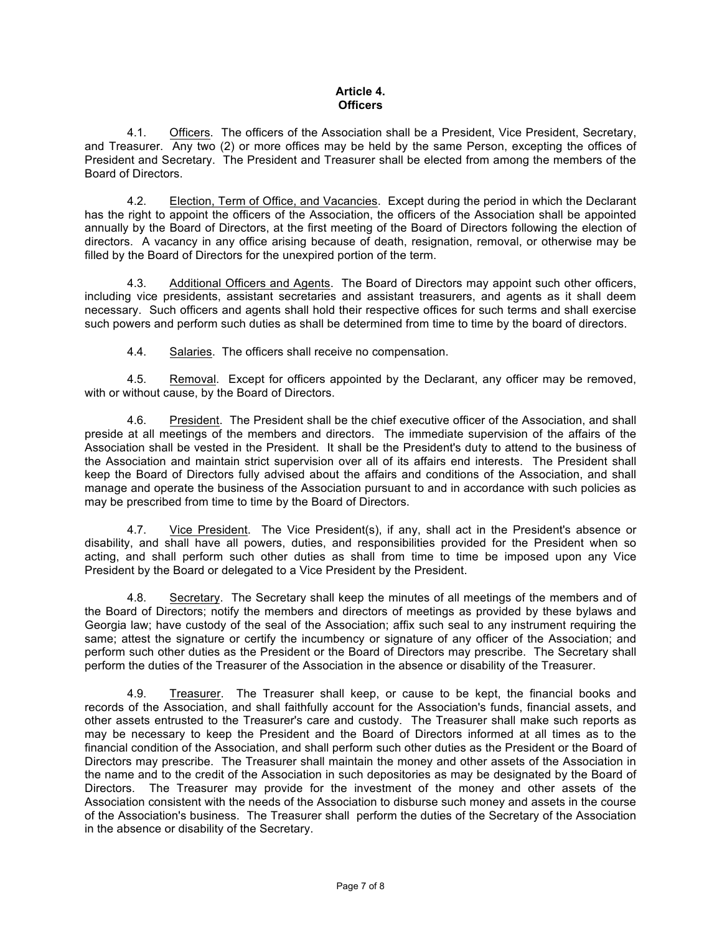# **Article 4. Officers**

4.1. Officers. The officers of the Association shall be a President, Vice President, Secretary, and Treasurer. Any two (2) or more offices may be held by the same Person, excepting the offices of President and Secretary. The President and Treasurer shall be elected from among the members of the Board of Directors.

4.2. Election, Term of Office, and Vacancies. Except during the period in which the Declarant has the right to appoint the officers of the Association, the officers of the Association shall be appointed annually by the Board of Directors, at the first meeting of the Board of Directors following the election of directors. A vacancy in any office arising because of death, resignation, removal, or otherwise may be filled by the Board of Directors for the unexpired portion of the term.

4.3. Additional Officers and Agents. The Board of Directors may appoint such other officers, including vice presidents, assistant secretaries and assistant treasurers, and agents as it shall deem necessary. Such officers and agents shall hold their respective offices for such terms and shall exercise such powers and perform such duties as shall be determined from time to time by the board of directors.

4.4. Salaries. The officers shall receive no compensation.

4.5. Removal. Except for officers appointed by the Declarant, any officer may be removed, with or without cause, by the Board of Directors.

4.6. President. The President shall be the chief executive officer of the Association, and shall preside at all meetings of the members and directors. The immediate supervision of the affairs of the Association shall be vested in the President. It shall be the President's duty to attend to the business of the Association and maintain strict supervision over all of its affairs end interests. The President shall keep the Board of Directors fully advised about the affairs and conditions of the Association, and shall manage and operate the business of the Association pursuant to and in accordance with such policies as may be prescribed from time to time by the Board of Directors.

4.7. Vice President. The Vice President(s), if any, shall act in the President's absence or disability, and shall have all powers, duties, and responsibilities provided for the President when so acting, and shall perform such other duties as shall from time to time be imposed upon any Vice President by the Board or delegated to a Vice President by the President.

4.8. Secretary. The Secretary shall keep the minutes of all meetings of the members and of the Board of Directors; notify the members and directors of meetings as provided by these bylaws and Georgia law; have custody of the seal of the Association; affix such seal to any instrument requiring the same; attest the signature or certify the incumbency or signature of any officer of the Association; and perform such other duties as the President or the Board of Directors may prescribe. The Secretary shall perform the duties of the Treasurer of the Association in the absence or disability of the Treasurer.

4.9. Treasurer. The Treasurer shall keep, or cause to be kept, the financial books and records of the Association, and shall faithfully account for the Association's funds, financial assets, and other assets entrusted to the Treasurer's care and custody. The Treasurer shall make such reports as may be necessary to keep the President and the Board of Directors informed at all times as to the financial condition of the Association, and shall perform such other duties as the President or the Board of Directors may prescribe. The Treasurer shall maintain the money and other assets of the Association in the name and to the credit of the Association in such depositories as may be designated by the Board of Directors. The Treasurer may provide for the investment of the money and other assets of the Association consistent with the needs of the Association to disburse such money and assets in the course of the Association's business. The Treasurer shall perform the duties of the Secretary of the Association in the absence or disability of the Secretary.